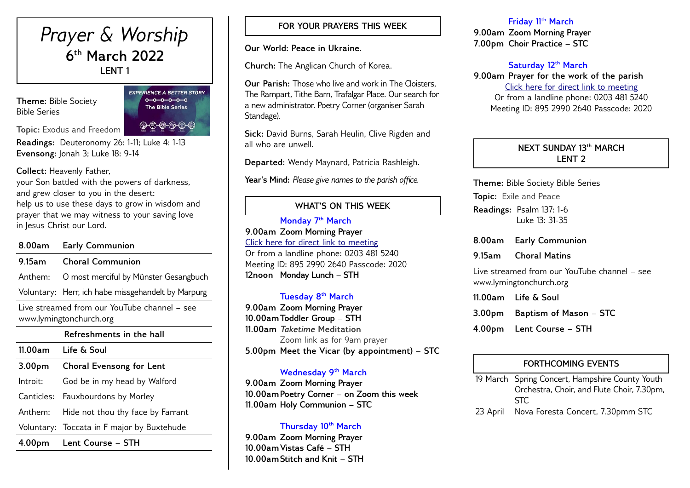# *Prayer & Worship* **6 th March 2022 LENT 1**

**Theme:** Bible Society Bible Series

**EXPERIENCE A BETTER STORY**  $0 - 0 - 0 - 0 - 0$ The Bible Series

 $\circledcirc\circledcirc\circledcirc$ 

**Topic:** Exodus and Freedom

**Readings:** Deuteronomy 26: 1-11; Luke 4: 1-13 **Evensong:** Jonah 3; Luke 18: 9-14

**Collect:** Heavenly Father,

your Son battled with the powers of darkness, and grew closer to you in the desert: help us to use these days to grow in wisdom and prayer that we may witness to your saving love in Jesus Christ our Lord.

# **8.00am Early Communion 9.15am Choral Communion** Anthem: O most merciful by Münster Gesangbuch Voluntary: Herr, ich habe missgehandelt by Marpurg Live streamed from our YouTube channel – see www.lymingtonchurch.org **Refreshments in the hall 11.00am Life & Soul 3.00pm Choral Evensong for Lent** Introit: God be in my head by Walford Canticles: Fauxbourdons by Morley Anthem: Hide not thou thy face by Farrant Voluntary: Toccata in F major by Buxtehude **4.00pm Lent Course – STH**

## **FOR YOUR PRAYERS THIS WEEK**

**Our World: Peace in Ukraine.**

**Church:** The Anglican Church of Korea.

**Our Parish:** Those who live and work in The Cloisters, The Rampart, Tithe Barn, Trafalgar Place. Our search for a new administrator. Poetry Corner (organiser Sarah Standage).

**Sick:** David Burns, Sarah Heulin, Clive Rigden and all who are unwell.

**Departed:** Wendy Maynard, Patricia Rashleigh.

**Year's Mind:** *Please give names to the parish office.*

# **WHAT'S ON THIS WEEK**

**Monday 7 th March 9.00am Zoom Morning Prayer** [Click here for direct link to meeting](https://us02web.zoom.us/j/89529902640?pwd=QVQxTGxjODdwV3ROT1gxM2NWUjN0dz09) Or from a landline phone: 0203 481 5240 Meeting ID: 895 2990 2640 Passcode: 2020 **12noon Monday Lunch – STH** 

# **Tuesday 8 th March**

**9.00am Zoom Morning Prayer 10.00amToddler Group – STH 11.00am** *Taketime* **Meditation**  Zoom link as for 9am prayer **5.00pm Meet the Vicar (by appointment) – STC**

# **Wednesday 9th March**

**9.00am Zoom Morning Prayer 10.00amPoetry Corner – on Zoom this week 11.00am Holy Communion – STC** 

# **Thursday 10th March**

**9.00am Zoom Morning Prayer 10.00amVistas Café – STH 10.00amStitch and Knit – STH** 

### **Friday 11th March**

**9.00am Zoom Morning Prayer 7.00pm Choir Practice – STC** 

# **Saturday 12th March**

**9.00am Prayer for the work of the parish** [Click here for direct link to meeting](https://us02web.zoom.us/j/89529902640?pwd=QVQxTGxjODdwV3ROT1gxM2NWUjN0dz09) Or from a landline phone: 0203 481 5240 Meeting ID: 895 2990 2640 Passcode: 2020

### **NEXT SUNDAY 13th MARCH LENT 2**

**Theme:** Bible Society Bible Series **Topic:** Exile and Peace **Readings:** Psalm 137: 1-6 Luke 13: 31-35

**8.00am Early Communion 9.15am Choral Matins**

Live streamed from our YouTube channel – see www.lymingtonchurch.org

| 11.00am Life & Soul           |
|-------------------------------|
| 3.00pm Baptism of Mason – STC |
| 4.00pm Lent Course – STH      |

# **FORTHCOMING EVENTS**

19 March Spring Concert, Hampshire County Youth Orchestra, Choir, and Flute Choir, 7.30pm, STC 23 April Nova Foresta Concert, 7.30pmm STC